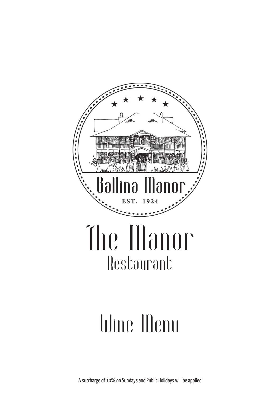

# Wine Menu

A surcharge of 10% on Sundays and Public Holidays will be applied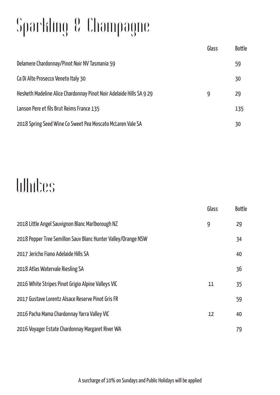## Sparkling & Champagne

|                                                                     | Glass | <b>Bottle</b> |
|---------------------------------------------------------------------|-------|---------------|
| Delamere Chardonnay/Pinot Noir NV Tasmania 59                       |       | 59            |
| Ca Di Alte Prosecco Veneto Italy 30                                 |       | 30            |
| Hesketh Madeline Alice Chardonnay Pinot Noir Adelaide Hills SA 9 29 | 9     | 29            |
| Lanson Pere et fils Brut Reims France 135                           |       | 135           |
| 2018 Spring Seed Wine Co Sweet Pea Moscato McLaren Vale SA          |       | 30            |

### Whites

|                                                               | Glass | <b>Bottle</b> |
|---------------------------------------------------------------|-------|---------------|
| 2018 Little Angel Sauvignon Blanc Marlborough NZ              | 9     | 29            |
| 2018 Pepper Tree Semillon Sauv Blanc Hunter Valley/Orange NSW |       | 34            |
| 2017 Jericho Fiano Adelaide Hills SA                          |       | 40            |
| 2018 Atlas Watervale Riesling SA                              |       | 36            |
| 2016 White Stripes Pinot Grigio Alpine Valleys VIC            | 11    | 35            |
| 2017 Gustave Lorentz Alsace Reserve Pinot Gris FR             |       | 59            |
| 2016 Pacha Mama Chardonnay Yarra Valley VIC                   | 12    | 40            |
| 2016 Voyager Estate Chardonnay Margaret River WA              |       | 79            |